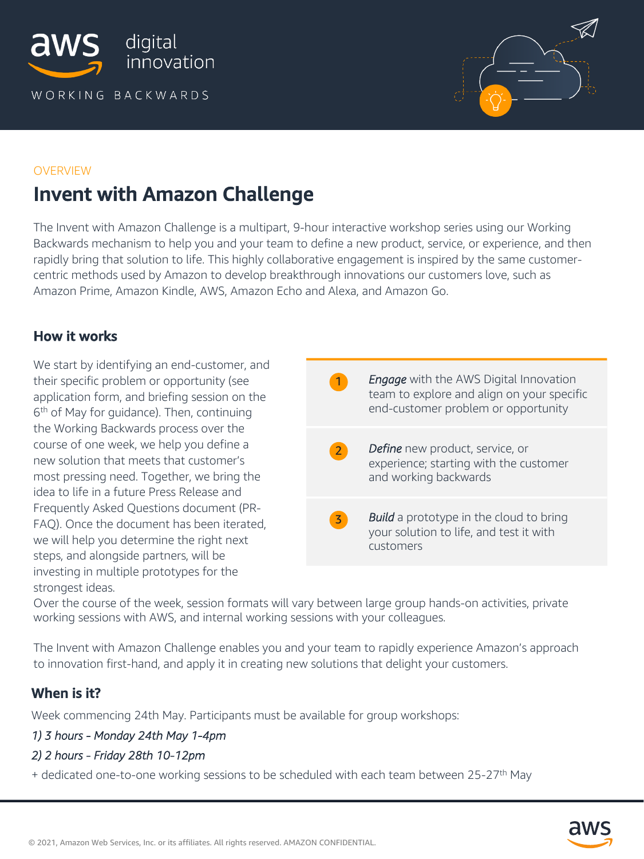



#### **OVERVIEW**

# Invent with Amazon Challenge

The Invent with Amazon Challenge is a multipart, 9-hour interactive workshop series using our Working Backwards mechanism to help you and your team to define a new product, service, or experience, and then rapidly bring that solution to life. This highly collaborative engagement is inspired by the same customercentric methods used by Amazon to develop breakthrough innovations our customers love, such as Amazon Prime, Amazon Kindle, AWS, Amazon Echo and Alexa, and Amazon Go.

## How it works

We start by identifying an end-customer, and their specific problem or opportunity (see application form, and briefing session on the 6<sup>th</sup> of May for guidance). Then, continuing the Working Backwards process over the course of one week, we help you define a new solution that meets that customer's most pressing need. Together, we bring the idea to life in a future Press Release and Frequently Asked Questions document (PR-FAQ). Once the document has been iterated, we will help you determine the right next steps, and alongside partners, will be investing in multiple prototypes for the strongest ideas.

**1** *Engage* with the AWS Digital Innovation team to explore and align on your specific end-customer problem or opportunity **2** *Define* new product, service, or experience; starting with the customer and working backwards **3** *Build* a prototype in the cloud to bring your solution to life, and test it with customers

Over the course of the week, session formats will vary between large group hands-on activities, private working sessions with AWS, and internal working sessions with your colleagues.

The Invent with Amazon Challenge enables you and your team to rapidly experience Amazon's approach to innovation first-hand, and apply it in creating new solutions that delight your customers.

# When is it?

Week commencing 24th May. Participants must be available for group workshops:

### *1) 3 hours - Monday 24th May 1-4pm*

### *2) 2 hours - Friday 28th 10-12pm*

+ dedicated one-to-one working sessions to be scheduled with each team between 25-27<sup>th</sup> May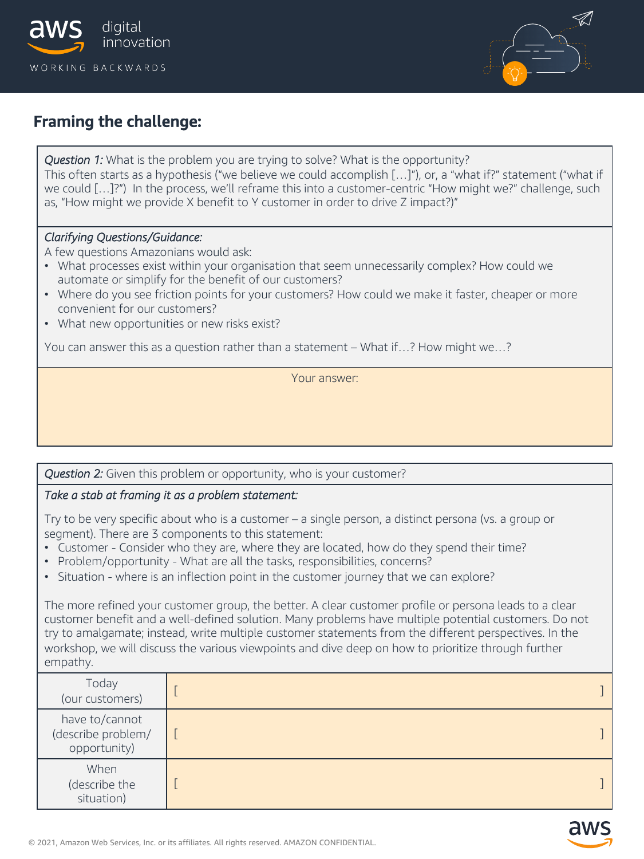



# Framing the challenge:

*Question 1:* What is the problem you are trying to solve? What is the opportunity? This often starts as a hypothesis ("we believe we could accomplish […]"), or, a "what if?" statement ("what if we could […]?") In the process, we'll reframe this into a customer-centric "How might we?" challenge, such as, "How might we provide X benefit to Y customer in order to drive Z impact?)"

### *Clarifying Questions/Guidance:*

A few questions Amazonians would ask:

- What processes exist within your organisation that seem unnecessarily complex? How could we automate or simplify for the benefit of our customers?
- Where do you see friction points for your customers? How could we make it faster, cheaper or more convenient for our customers?
- What new opportunities or new risks exist?

You can answer this as a question rather than a statement – What if…? How might we…?

Your answer:

### *Question 2:* Given this problem or opportunity, who is your customer?

### *Take a stab at framing it as a problem statement:*

Try to be very specific about who is a customer – a single person, a distinct persona (vs. a group or segment). There are 3 components to this statement:

- Customer Consider who they are, where they are located, how do they spend their time?
- Problem/opportunity What are all the tasks, responsibilities, concerns?
- Situation where is an inflection point in the customer journey that we can explore?

The more refined your customer group, the better. A clear customer profile or persona leads to a clear customer benefit and a well-defined solution. Many problems have multiple potential customers. Do not try to amalgamate; instead, write multiple customer statements from the different perspectives. In the workshop, we will discuss the various viewpoints and dive deep on how to prioritize through further empathy.

| Today<br>(our customers)                             |  |
|------------------------------------------------------|--|
| have to/cannot<br>(describe problem/<br>opportunity) |  |
| When<br>(describe the<br>situation)                  |  |